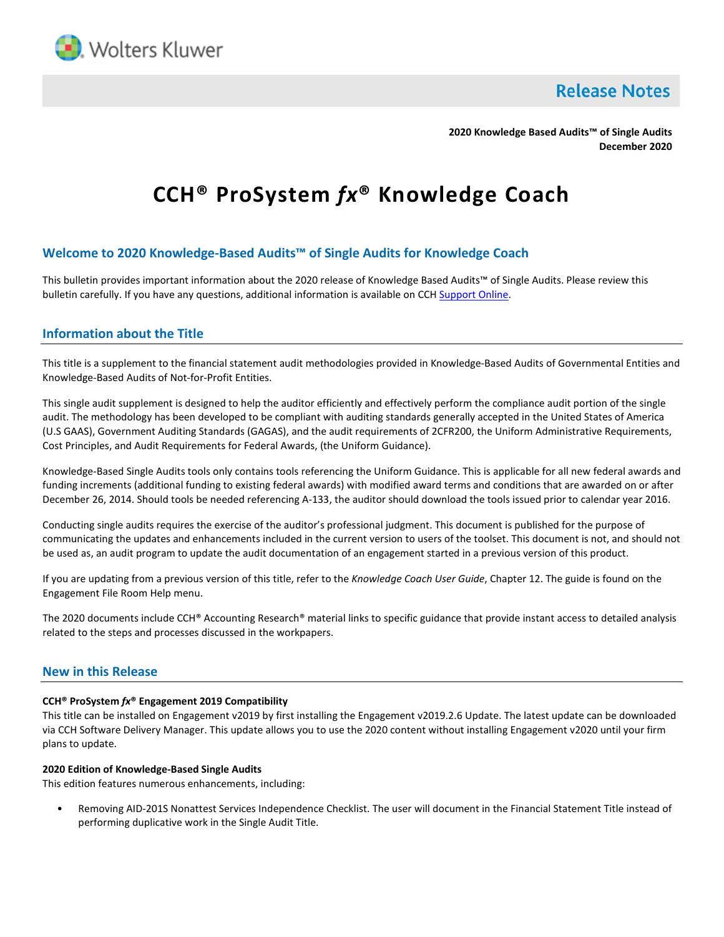

**Release Notes** 

**2020 Knowledge Based Audits™ of Single Audits December 2020**

# **CCH® ProSystem** *fx***® Knowledge Coach**

# **Welcome to 2020 Knowledge-Based Audits™ of Single Audits for Knowledge Coach**

This bulletin provides important information about the 2020 release of Knowledge Based Audits™ of Single Audits. Please review this bulletin carefully. If you have any questions, additional information is available on CC[H Support Online.](http://support.cch.com/productsupport/)

## **Information about the Title**

This title is a supplement to the financial statement audit methodologies provided in Knowledge-Based Audits of Governmental Entities and Knowledge-Based Audits of Not-for-Profit Entities.

This single audit supplement is designed to help the auditor efficiently and effectively perform the compliance audit portion of the single audit. The methodology has been developed to be compliant with auditing standards generally accepted in the United States of America (U.S GAAS), Government Auditing Standards (GAGAS), and the audit requirements of 2CFR200, the Uniform Administrative Requirements, Cost Principles, and Audit Requirements for Federal Awards, (the Uniform Guidance).

Knowledge-Based Single Audits tools only contains tools referencing the Uniform Guidance. This is applicable for all new federal awards and funding increments (additional funding to existing federal awards) with modified award terms and conditions that are awarded on or after December 26, 2014. Should tools be needed referencing A-133, the auditor should download the tools issued prior to calendar year 2016.

Conducting single audits requires the exercise of the auditor's professional judgment. This document is published for the purpose of communicating the updates and enhancements included in the current version to users of the toolset. This document is not, and should not be used as, an audit program to update the audit documentation of an engagement started in a previous version of this product.

If you are updating from a previous version of this title, refer to the *Knowledge Coach User Guide*, Chapter 12. The guide is found on the Engagement File Room Help menu.

The 2020 documents include CCH® Accounting Research® material links to specific guidance that provide instant access to detailed analysis related to the steps and processes discussed in the workpapers.

## **New in this Release**

#### **CCH® ProSystem** *fx***® Engagement 2019 Compatibility**

This title can be installed on Engagement v2019 by first installing the Engagement v2019.2.6 Update. The latest update can be downloaded via CCH Software Delivery Manager. This update allows you to use the 2020 content without installing Engagement v2020 until your firm plans to update.

#### **2020 Edition of Knowledge-Based Single Audits**

This edition features numerous enhancements, including:

• Removing AID-201S Nonattest Services Independence Checklist. The user will document in the Financial Statement Title instead of performing duplicative work in the Single Audit Title.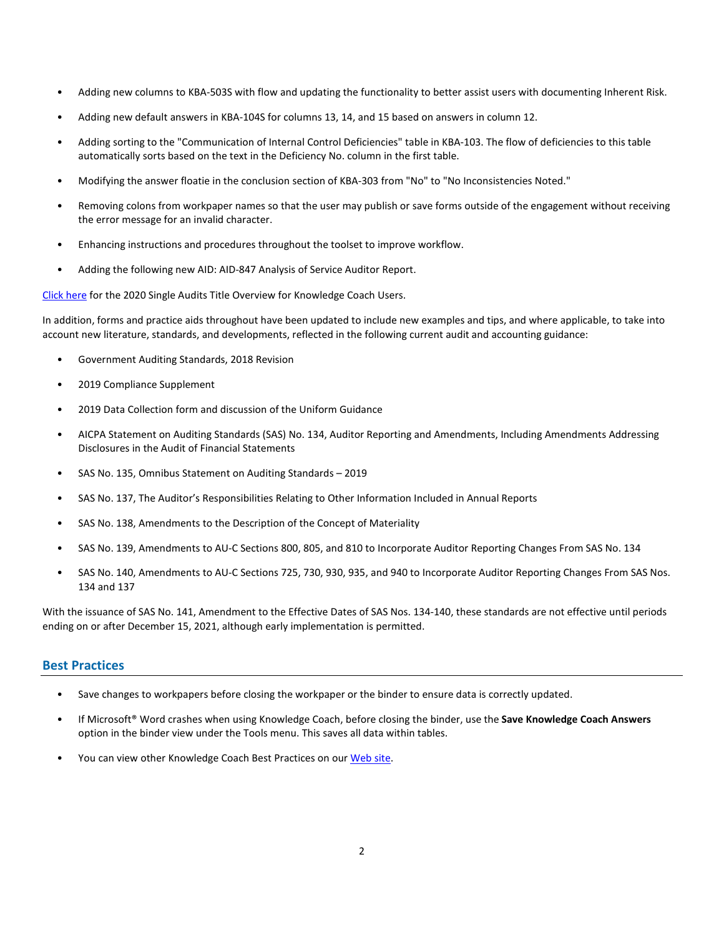- Adding new columns to KBA-503S with flow and updating the functionality to better assist users with documenting Inherent Risk.
- Adding new default answers in KBA-104S for columns 13, 14, and 15 based on answers in column 12.
- Adding sorting to the "Communication of Internal Control Deficiencies" table in KBA-103. The flow of deficiencies to this table automatically sorts based on the text in the Deficiency No. column in the first table.
- Modifying the answer floatie in the conclusion section of KBA-303 from "No" to "No Inconsistencies Noted."
- Removing colons from workpaper names so that the user may publish or save forms outside of the engagement without receiving the error message for an invalid character.
- Enhancing instructions and procedures throughout the toolset to improve workflow.
- Adding the following new AID: AID-847 Analysis of Service Auditor Report.

[Click here](http://support.cch.com/updates/KnowledgeCoach/pdf/guides_tab/2020%20Single%20Audit%20Title%20Overview%20for%20Knowledge%20Coach%20Users.pdf) for the 2020 Single Audits Title Overview for Knowledge Coach Users.

In addition, forms and practice aids throughout have been updated to include new examples and tips, and where applicable, to take into account new literature, standards, and developments, reflected in the following current audit and accounting guidance:

- Government Auditing Standards, 2018 Revision
- 2019 Compliance Supplement
- 2019 Data Collection form and discussion of the Uniform Guidance
- AICPA Statement on Auditing Standards (SAS) No. 134, Auditor Reporting and Amendments, Including Amendments Addressing Disclosures in the Audit of Financial Statements
- SAS No. 135, Omnibus Statement on Auditing Standards 2019
- SAS No. 137, The Auditor's Responsibilities Relating to Other Information Included in Annual Reports
- SAS No. 138, Amendments to the Description of the Concept of Materiality
- SAS No. 139, Amendments to AU-C Sections 800, 805, and 810 to Incorporate Auditor Reporting Changes From SAS No. 134
- SAS No. 140, Amendments to AU-C Sections 725, 730, 930, 935, and 940 to Incorporate Auditor Reporting Changes From SAS Nos. 134 and 137

With the issuance of SAS No. 141, Amendment to the Effective Dates of SAS Nos. 134-140, these standards are not effective until periods ending on or after December 15, 2021, although early implementation is permitted.

#### **Best Practices**

- Save changes to workpapers before closing the workpaper or the binder to ensure data is correctly updated.
- If Microsoft® Word crashes when using Knowledge Coach, before closing the binder, use the **Save Knowledge Coach Answers** option in the binder view under the Tools menu. This saves all data within tables.
- You can view other Knowledge Coach Best Practices on ou[r Web](https://support.cch.com/kb/solution/000034942/sw34947) site.